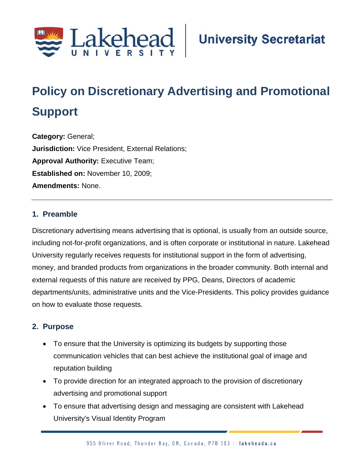

# **Policy on Discretionary Advertising and Promotional Support**

**Category:** General; **Jurisdiction:** Vice President, External Relations; **Approval Authority:** Executive Team; **Established on:** November 10, 2009; **Amendments:** None.

#### **1. Preamble**

Discretionary advertising means advertising that is optional, is usually from an outside source, including not-for-profit organizations, and is often corporate or institutional in nature. Lakehead University regularly receives requests for institutional support in the form of advertising, money, and branded products from organizations in the broader community. Both internal and external requests of this nature are received by PPG, Deans, Directors of academic departments/units, administrative units and the Vice-Presidents. This policy provides guidance on how to evaluate those requests.

#### **2. Purpose**

- To ensure that the University is optimizing its budgets by supporting those communication vehicles that can best achieve the institutional goal of image and reputation building
- To provide direction for an integrated approach to the provision of discretionary advertising and promotional support
- To ensure that advertising design and messaging are consistent with Lakehead University's Visual Identity Program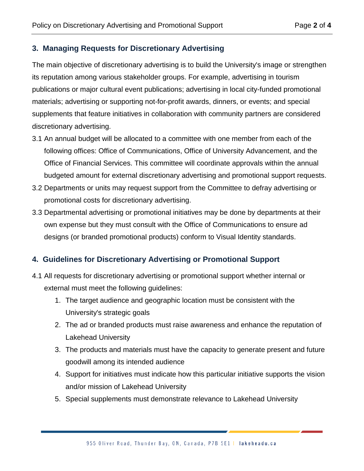#### **3. Managing Requests for Discretionary Advertising**

The main objective of discretionary advertising is to build the University's image or strengthen its reputation among various stakeholder groups. For example, advertising in tourism publications or major cultural event publications; advertising in local city-funded promotional materials; advertising or supporting not-for-profit awards, dinners, or events; and special supplements that feature initiatives in collaboration with community partners are considered discretionary advertising.

- 3.1 An annual budget will be allocated to a committee with one member from each of the following offices: Office of Communications, Office of University Advancement, and the Office of Financial Services. This committee will coordinate approvals within the annual budgeted amount for external discretionary advertising and promotional support requests.
- 3.2 Departments or units may request support from the Committee to defray advertising or promotional costs for discretionary advertising.
- 3.3 Departmental advertising or promotional initiatives may be done by departments at their own expense but they must consult with the Office of Communications to ensure ad designs (or branded promotional products) conform to Visual Identity standards.

### **4. Guidelines for Discretionary Advertising or Promotional Support**

- 4.1 All requests for discretionary advertising or promotional support whether internal or external must meet the following guidelines:
	- 1. The target audience and geographic location must be consistent with the University's strategic goals
	- 2. The ad or branded products must raise awareness and enhance the reputation of Lakehead University
	- 3. The products and materials must have the capacity to generate present and future goodwill among its intended audience
	- 4. Support for initiatives must indicate how this particular initiative supports the vision and/or mission of Lakehead University
	- 5. Special supplements must demonstrate relevance to Lakehead University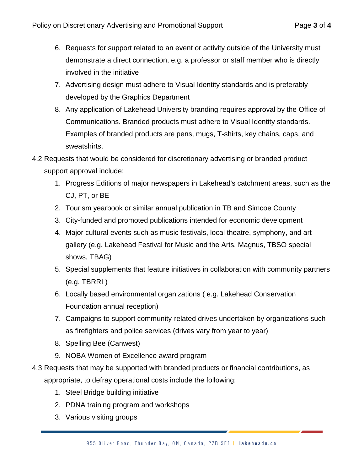- 6. Requests for support related to an event or activity outside of the University must demonstrate a direct connection, e.g. a professor or staff member who is directly involved in the initiative
- 7. Advertising design must adhere to Visual Identity standards and is preferably developed by the Graphics Department
- 8. Any application of Lakehead University branding requires approval by the Office of Communications. Branded products must adhere to Visual Identity standards. Examples of branded products are pens, mugs, T-shirts, key chains, caps, and sweatshirts.
- 4.2 Requests that would be considered for discretionary advertising or branded product support approval include:
	- 1. Progress Editions of major newspapers in Lakehead's catchment areas, such as the CJ, PT, or BE
	- 2. Tourism yearbook or similar annual publication in TB and Simcoe County
	- 3. City-funded and promoted publications intended for economic development
	- 4. Major cultural events such as music festivals, local theatre, symphony, and art gallery (e.g. Lakehead Festival for Music and the Arts, Magnus, TBSO special shows, TBAG)
	- 5. Special supplements that feature initiatives in collaboration with community partners (e.g. TBRRI )
	- 6. Locally based environmental organizations ( e.g. Lakehead Conservation Foundation annual reception)
	- 7. Campaigns to support community-related drives undertaken by organizations such as firefighters and police services (drives vary from year to year)
	- 8. Spelling Bee (Canwest)
	- 9. NOBA Women of Excellence award program
- 4.3 Requests that may be supported with branded products or financial contributions, as appropriate, to defray operational costs include the following:
	- 1. Steel Bridge building initiative
	- 2. PDNA training program and workshops
	- 3. Various visiting groups